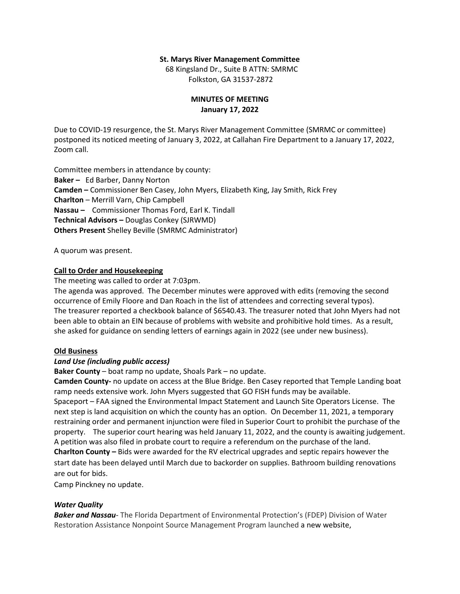#### **St. Marys River Management Committee**

 68 Kingsland Dr., Suite B ATTN: SMRMC Folkston, GA 31537-2872

## **MINUTES OF MEETING January 17, 2022**

Due to COVID-19 resurgence, the St. Marys River Management Committee (SMRMC or committee) postponed its noticed meeting of January 3, 2022, at Callahan Fire Department to a January 17, 2022, Zoom call.

Committee members in attendance by county: **Baker –** Ed Barber, Danny Norton **Camden –** Commissioner Ben Casey, John Myers, Elizabeth King, Jay Smith, Rick Frey **Charlton** – Merrill Varn, Chip Campbell **Nassau –** Commissioner Thomas Ford, Earl K. Tindall **Technical Advisors –** Douglas Conkey (SJRWMD) **Others Present** Shelley Beville (SMRMC Administrator)

A quorum was present.

## **Call to Order and Housekeeping**

The meeting was called to order at 7:03pm.

The agenda was approved. The December minutes were approved with edits (removing the second occurrence of Emily Floore and Dan Roach in the list of attendees and correcting several typos). The treasurer reported a checkbook balance of \$6540.43. The treasurer noted that John Myers had not been able to obtain an EIN because of problems with website and prohibitive hold times. As a result, she asked for guidance on sending letters of earnings again in 2022 (see under new business).

## **Old Business**

## *Land Use (including public access)*

**Baker County** – boat ramp no update, Shoals Park – no update.

**Camden County-** no update on access at the Blue Bridge. Ben Casey reported that Temple Landing boat ramp needs extensive work. John Myers suggested that GO FISH funds may be available.

Spaceport – FAA signed the Environmental Impact Statement and Launch Site Operators License. The next step is land acquisition on which the county has an option. On December 11, 2021, a temporary restraining order and permanent injunction were filed in Superior Court to prohibit the purchase of the property. The superior court hearing was held January 11, 2022, and the county is awaiting judgement. A petition was also filed in probate court to require a referendum on the purchase of the land.

**Charlton County –** Bids were awarded for the RV electrical upgrades and septic repairs however the start date has been delayed until March due to backorder on supplies. Bathroom building renovations are out for bids.

Camp Pinckney no update.

## *Water Quality*

*Baker and Nassau*- The Florida Department of Environmental Protection's (FDEP) Division of Water Restoration Assistance Nonpoint Source Management Program launched a new website,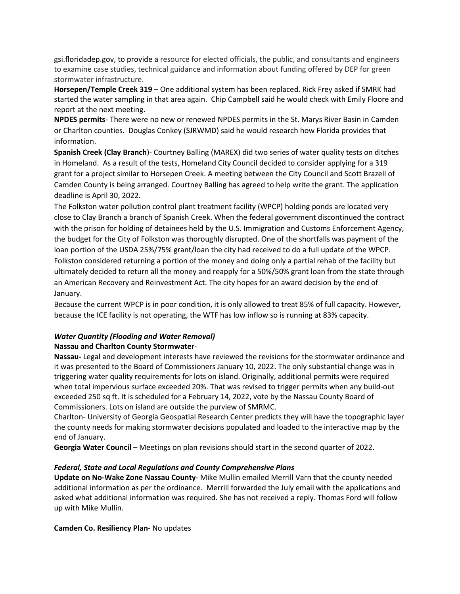gsi.floridadep.gov, to provide a resource for elected officials, the public, and consultants and engineers to examine case studies, technical guidance and information about funding offered by DEP for green stormwater infrastructure.

**Horsepen/Temple Creek 319** – One additional system has been replaced. Rick Frey asked if SMRK had started the water sampling in that area again. Chip Campbell said he would check with Emily Floore and report at the next meeting.

**NPDES permits**- There were no new or renewed NPDES permits in the St. Marys River Basin in Camden or Charlton counties. Douglas Conkey (SJRWMD) said he would research how Florida provides that information.

**Spanish Creek (Clay Branch**)- Courtney Balling (MAREX) did two series of water quality tests on ditches in Homeland. As a result of the tests, Homeland City Council decided to consider applying for a 319 grant for a project similar to Horsepen Creek. A meeting between the City Council and Scott Brazell of Camden County is being arranged. Courtney Balling has agreed to help write the grant. The application deadline is April 30, 2022.

The Folkston water pollution control plant treatment facility (WPCP) holding ponds are located very close to Clay Branch a branch of Spanish Creek. When the federal government discontinued the contract with the prison for holding of detainees held by the U.S. Immigration and Customs Enforcement Agency, the budget for the City of Folkston was thoroughly disrupted. One of the shortfalls was payment of the loan portion of the USDA 25%/75% grant/loan the city had received to do a full update of the WPCP. Folkston considered returning a portion of the money and doing only a partial rehab of the facility but ultimately decided to return all the money and reapply for a 50%/50% grant loan from the state through an American Recovery and Reinvestment Act. The city hopes for an award decision by the end of January.

Because the current WPCP is in poor condition, it is only allowed to treat 85% of full capacity. However, because the ICE facility is not operating, the WTF has low inflow so is running at 83% capacity.

# *Water Quantity (Flooding and Water Removal)* **Nassau and Charlton County Stormwater**-

**Nassau-** Legal and development interests have reviewed the revisions for the stormwater ordinance and it was presented to the Board of Commissioners January 10, 2022. The only substantial change was in triggering water quality requirements for lots on island. Originally, additional permits were required when total impervious surface exceeded 20%. That was revised to trigger permits when any build-out exceeded 250 sq ft. It is scheduled for a February 14, 2022, vote by the Nassau County Board of Commissioners. Lots on island are outside the purview of SMRMC.

Charlton- University of Georgia Geospatial Research Center predicts they will have the topographic layer the county needs for making stormwater decisions populated and loaded to the interactive map by the end of January.

**Georgia Water Council** – Meetings on plan revisions should start in the second quarter of 2022.

## *Federal, State and Local Regulations and County Comprehensive Plans*

**Update on No-Wake Zone Nassau County**- Mike Mullin emailed Merrill Varn that the county needed additional information as per the ordinance. Merrill forwarded the July email with the applications and asked what additional information was required. She has not received a reply. Thomas Ford will follow up with Mike Mullin.

## **Camden Co. Resiliency Plan**- No updates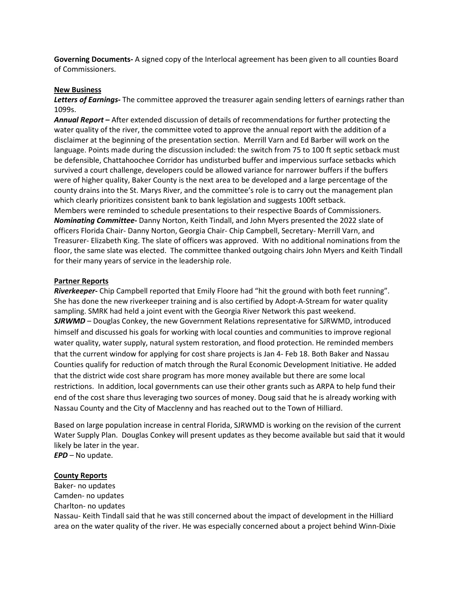**Governing Documents-** A signed copy of the Interlocal agreement has been given to all counties Board of Commissioners.

#### **New Business**

*Letters of Earnings-* The committee approved the treasurer again sending letters of earnings rather than 1099s.

*Annual Report* **–** After extended discussion of details of recommendations for further protecting the water quality of the river, the committee voted to approve the annual report with the addition of a disclaimer at the beginning of the presentation section. Merrill Varn and Ed Barber will work on the language. Points made during the discussion included: the switch from 75 to 100 ft septic setback must be defensible, Chattahoochee Corridor has undisturbed buffer and impervious surface setbacks which survived a court challenge, developers could be allowed variance for narrower buffers if the buffers were of higher quality, Baker County is the next area to be developed and a large percentage of the county drains into the St. Marys River, and the committee's role is to carry out the management plan which clearly prioritizes consistent bank to bank legislation and suggests 100ft setback. Members were reminded to schedule presentations to their respective Boards of Commissioners. *Nominating Committee***-** Danny Norton, Keith Tindall, and John Myers presented the 2022 slate of officers Florida Chair- Danny Norton, Georgia Chair- Chip Campbell, Secretary- Merrill Varn, and Treasurer- Elizabeth King. The slate of officers was approved. With no additional nominations from the floor, the same slate was elected. The committee thanked outgoing chairs John Myers and Keith Tindall for their many years of service in the leadership role.

#### **Partner Reports**

*Riverkeeper-* Chip Campbell reported that Emily Floore had "hit the ground with both feet running". She has done the new riverkeeper training and is also certified by Adopt-A-Stream for water quality sampling. SMRK had held a joint event with the Georgia River Network this past weekend. *SJRWMD* – Douglas Conkey, the new Government Relations representative for SJRWMD, introduced himself and discussed his goals for working with local counties and communities to improve regional water quality, water supply, natural system restoration, and flood protection. He reminded members that the current window for applying for cost share projects is Jan 4- Feb 18. Both Baker and Nassau Counties qualify for reduction of match through the Rural Economic Development Initiative. He added that the district wide cost share program has more money available but there are some local restrictions. In addition, local governments can use their other grants such as ARPA to help fund their end of the cost share thus leveraging two sources of money. Doug said that he is already working with Nassau County and the City of Macclenny and has reached out to the Town of Hilliard.

Based on large population increase in central Florida, SJRWMD is working on the revision of the current Water Supply Plan. Douglas Conkey will present updates as they become available but said that it would likely be later in the year.

*EPD* – No update.

#### **County Reports**

Baker- no updates Camden- no updates Charlton- no updates Nassau- Keith Tindall said that he was still concerned about the impact of development in the Hilliard area on the water quality of the river. He was especially concerned about a project behind Winn-Dixie